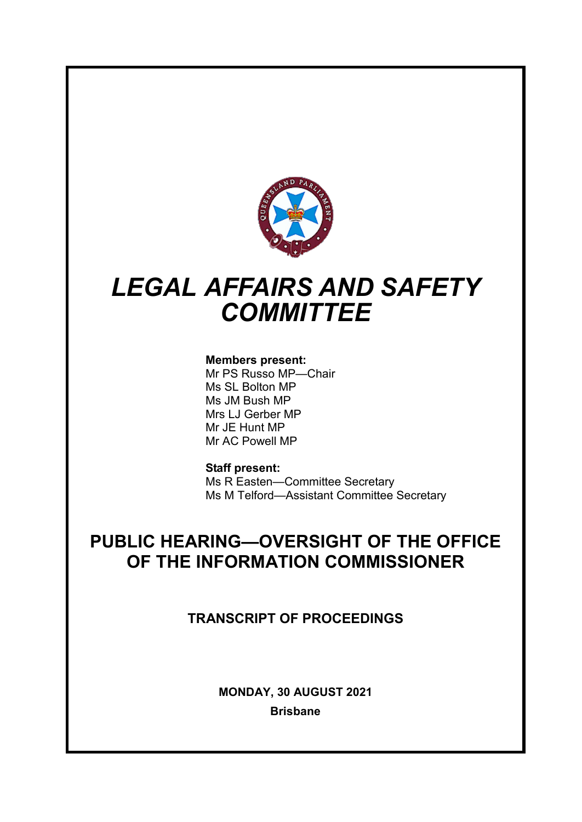

# *LEGAL AFFAIRS AND SAFETY COMMITTEE*

# **Members present:**

Mr PS Russo MP—Chair Ms SL Bolton MP Ms JM Bush MP Mrs LJ Gerber MP Mr JE Hunt MP Mr AC Powell MP

# **Staff present:**

Ms R Easten—Committee Secretary Ms M Telford—Assistant Committee Secretary

# **PUBLIC HEARING—OVERSIGHT OF THE OFFICE OF THE INFORMATION COMMISSIONER**

**TRANSCRIPT OF PROCEEDINGS**

**MONDAY, 30 AUGUST 2021 Brisbane**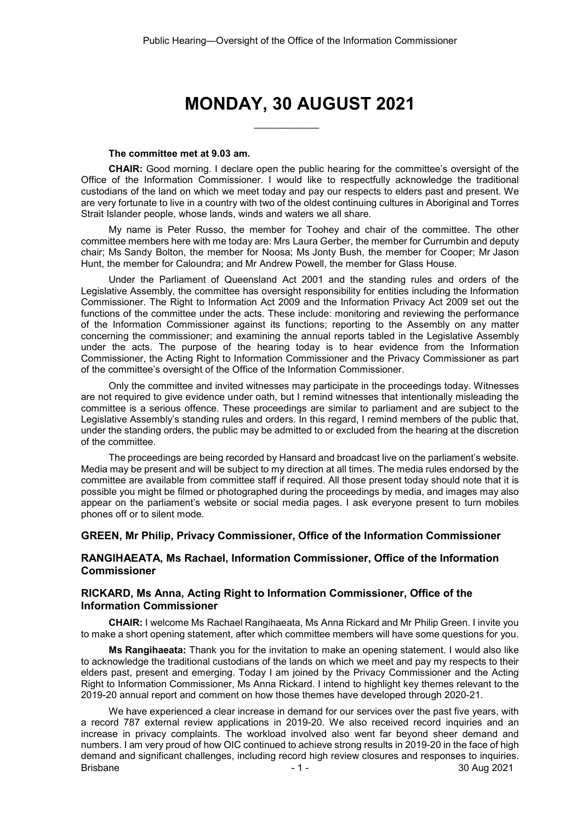# **MONDAY, 30 AUGUST 2021**

\_\_\_\_\_\_\_\_\_\_\_\_

#### **The committee met at 9.03 am.**

**CHAIR:** Good morning. I declare open the public hearing for the committee's oversight of the Office of the Information Commissioner. I would like to respectfully acknowledge the traditional custodians of the land on which we meet today and pay our respects to elders past and present. We are very fortunate to live in a country with two of the oldest continuing cultures in Aboriginal and Torres Strait Islander people, whose lands, winds and waters we all share.

My name is Peter Russo, the member for Toohey and chair of the committee. The other committee members here with me today are: Mrs Laura Gerber, the member for Currumbin and deputy chair; Ms Sandy Bolton, the member for Noosa; Ms Jonty Bush, the member for Cooper; Mr Jason Hunt, the member for Caloundra; and Mr Andrew Powell, the member for Glass House.

Under the Parliament of Queensland Act 2001 and the standing rules and orders of the Legislative Assembly, the committee has oversight responsibility for entities including the Information Commissioner. The Right to Information Act 2009 and the Information Privacy Act 2009 set out the functions of the committee under the acts. These include: monitoring and reviewing the performance of the Information Commissioner against its functions; reporting to the Assembly on any matter concerning the commissioner; and examining the annual reports tabled in the Legislative Assembly under the acts. The purpose of the hearing today is to hear evidence from the Information Commissioner, the Acting Right to Information Commissioner and the Privacy Commissioner as part of the committee's oversight of the Office of the Information Commissioner.

Only the committee and invited witnesses may participate in the proceedings today. Witnesses are not required to give evidence under oath, but I remind witnesses that intentionally misleading the committee is a serious offence. These proceedings are similar to parliament and are subject to the Legislative Assembly's standing rules and orders. In this regard, I remind members of the public that, under the standing orders, the public may be admitted to or excluded from the hearing at the discretion of the committee.

The proceedings are being recorded by Hansard and broadcast live on the parliament's website. Media may be present and will be subject to my direction at all times. The media rules endorsed by the committee are available from committee staff if required. All those present today should note that it is possible you might be filmed or photographed during the proceedings by media, and images may also appear on the parliament's website or social media pages. I ask everyone present to turn mobiles phones off or to silent mode.

### **GREEN, Mr Philip, Privacy Commissioner, Office of the Information Commissioner**

### **RANGIHAEATA, Ms Rachael, Information Commissioner, Office of the Information Commissioner**

## **RICKARD, Ms Anna, Acting Right to Information Commissioner, Office of the Information Commissioner**

**CHAIR:** I welcome Ms Rachael Rangihaeata, Ms Anna Rickard and Mr Philip Green. I invite you to make a short opening statement, after which committee members will have some questions for you.

**Ms Rangihaeata:** Thank you for the invitation to make an opening statement. I would also like to acknowledge the traditional custodians of the lands on which we meet and pay my respects to their elders past, present and emerging. Today I am joined by the Privacy Commissioner and the Acting Right to Information Commissioner, Ms Anna Rickard. I intend to highlight key themes relevant to the 2019-20 annual report and comment on how those themes have developed through 2020-21.

Brisbane - 1 - 30 Aug 2021 We have experienced a clear increase in demand for our services over the past five years, with a record 787 external review applications in 2019-20. We also received record inquiries and an increase in privacy complaints. The workload involved also went far beyond sheer demand and numbers. I am very proud of how OIC continued to achieve strong results in 2019-20 in the face of high demand and significant challenges, including record high review closures and responses to inquiries.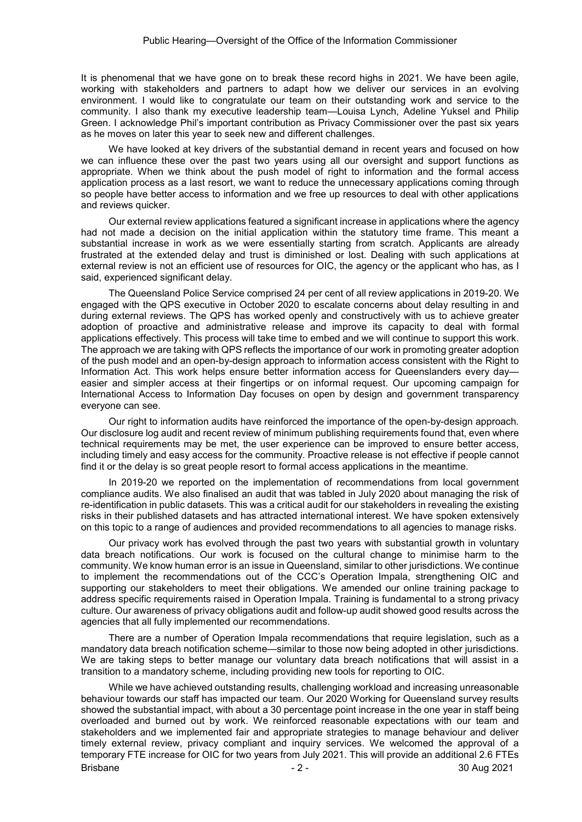It is phenomenal that we have gone on to break these record highs in 2021. We have been agile, working with stakeholders and partners to adapt how we deliver our services in an evolving environment. I would like to congratulate our team on their outstanding work and service to the community. I also thank my executive leadership team—Louisa Lynch, Adeline Yuksel and Philip Green. I acknowledge Phil's important contribution as Privacy Commissioner over the past six years as he moves on later this year to seek new and different challenges.

We have looked at key drivers of the substantial demand in recent years and focused on how we can influence these over the past two years using all our oversight and support functions as appropriate. When we think about the push model of right to information and the formal access application process as a last resort, we want to reduce the unnecessary applications coming through so people have better access to information and we free up resources to deal with other applications and reviews quicker.

Our external review applications featured a significant increase in applications where the agency had not made a decision on the initial application within the statutory time frame. This meant a substantial increase in work as we were essentially starting from scratch. Applicants are already frustrated at the extended delay and trust is diminished or lost. Dealing with such applications at external review is not an efficient use of resources for OIC, the agency or the applicant who has, as I said, experienced significant delay.

The Queensland Police Service comprised 24 per cent of all review applications in 2019-20. We engaged with the QPS executive in October 2020 to escalate concerns about delay resulting in and during external reviews. The QPS has worked openly and constructively with us to achieve greater adoption of proactive and administrative release and improve its capacity to deal with formal applications effectively. This process will take time to embed and we will continue to support this work. The approach we are taking with QPS reflects the importance of our work in promoting greater adoption of the push model and an open-by-design approach to information access consistent with the Right to Information Act. This work helps ensure better information access for Queenslanders every day easier and simpler access at their fingertips or on informal request. Our upcoming campaign for International Access to Information Day focuses on open by design and government transparency everyone can see.

Our right to information audits have reinforced the importance of the open-by-design approach. Our disclosure log audit and recent review of minimum publishing requirements found that, even where technical requirements may be met, the user experience can be improved to ensure better access, including timely and easy access for the community. Proactive release is not effective if people cannot find it or the delay is so great people resort to formal access applications in the meantime.

In 2019-20 we reported on the implementation of recommendations from local government compliance audits. We also finalised an audit that was tabled in July 2020 about managing the risk of re-identification in public datasets. This was a critical audit for our stakeholders in revealing the existing risks in their published datasets and has attracted international interest. We have spoken extensively on this topic to a range of audiences and provided recommendations to all agencies to manage risks.

Our privacy work has evolved through the past two years with substantial growth in voluntary data breach notifications. Our work is focused on the cultural change to minimise harm to the community. We know human error is an issue in Queensland, similar to other jurisdictions. We continue to implement the recommendations out of the CCC's Operation Impala, strengthening OIC and supporting our stakeholders to meet their obligations. We amended our online training package to address specific requirements raised in Operation Impala. Training is fundamental to a strong privacy culture. Our awareness of privacy obligations audit and follow-up audit showed good results across the agencies that all fully implemented our recommendations.

There are a number of Operation Impala recommendations that require legislation, such as a mandatory data breach notification scheme—similar to those now being adopted in other jurisdictions. We are taking steps to better manage our voluntary data breach notifications that will assist in a transition to a mandatory scheme, including providing new tools for reporting to OIC.

Brisbane - 2 - 2 - 2 - 2 - 30 Aug 2021 While we have achieved outstanding results, challenging workload and increasing unreasonable behaviour towards our staff has impacted our team. Our 2020 Working for Queensland survey results showed the substantial impact, with about a 30 percentage point increase in the one year in staff being overloaded and burned out by work. We reinforced reasonable expectations with our team and stakeholders and we implemented fair and appropriate strategies to manage behaviour and deliver timely external review, privacy compliant and inquiry services. We welcomed the approval of a temporary FTE increase for OIC for two years from July 2021. This will provide an additional 2.6 FTEs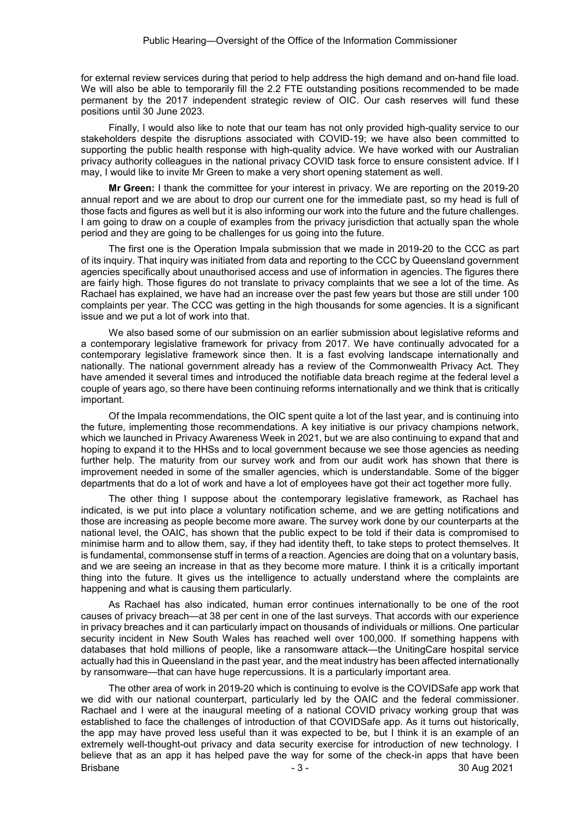for external review services during that period to help address the high demand and on-hand file load. We will also be able to temporarily fill the 2.2 FTE outstanding positions recommended to be made permanent by the 2017 independent strategic review of OIC. Our cash reserves will fund these positions until 30 June 2023.

Finally, I would also like to note that our team has not only provided high-quality service to our stakeholders despite the disruptions associated with COVID-19; we have also been committed to supporting the public health response with high-quality advice. We have worked with our Australian privacy authority colleagues in the national privacy COVID task force to ensure consistent advice. If I may, I would like to invite Mr Green to make a very short opening statement as well.

**Mr Green:** I thank the committee for your interest in privacy. We are reporting on the 2019-20 annual report and we are about to drop our current one for the immediate past, so my head is full of those facts and figures as well but it is also informing our work into the future and the future challenges. I am going to draw on a couple of examples from the privacy jurisdiction that actually span the whole period and they are going to be challenges for us going into the future.

The first one is the Operation Impala submission that we made in 2019-20 to the CCC as part of its inquiry. That inquiry was initiated from data and reporting to the CCC by Queensland government agencies specifically about unauthorised access and use of information in agencies. The figures there are fairly high. Those figures do not translate to privacy complaints that we see a lot of the time. As Rachael has explained, we have had an increase over the past few years but those are still under 100 complaints per year. The CCC was getting in the high thousands for some agencies. It is a significant issue and we put a lot of work into that.

We also based some of our submission on an earlier submission about legislative reforms and a contemporary legislative framework for privacy from 2017. We have continually advocated for a contemporary legislative framework since then. It is a fast evolving landscape internationally and nationally. The national government already has a review of the Commonwealth Privacy Act. They have amended it several times and introduced the notifiable data breach regime at the federal level a couple of years ago, so there have been continuing reforms internationally and we think that is critically important.

Of the Impala recommendations, the OIC spent quite a lot of the last year, and is continuing into the future, implementing those recommendations. A key initiative is our privacy champions network, which we launched in Privacy Awareness Week in 2021, but we are also continuing to expand that and hoping to expand it to the HHSs and to local government because we see those agencies as needing further help. The maturity from our survey work and from our audit work has shown that there is improvement needed in some of the smaller agencies, which is understandable. Some of the bigger departments that do a lot of work and have a lot of employees have got their act together more fully.

The other thing I suppose about the contemporary legislative framework, as Rachael has indicated, is we put into place a voluntary notification scheme, and we are getting notifications and those are increasing as people become more aware. The survey work done by our counterparts at the national level, the OAIC, has shown that the public expect to be told if their data is compromised to minimise harm and to allow them, say, if they had identity theft, to take steps to protect themselves. It is fundamental, commonsense stuff in terms of a reaction. Agencies are doing that on a voluntary basis, and we are seeing an increase in that as they become more mature. I think it is a critically important thing into the future. It gives us the intelligence to actually understand where the complaints are happening and what is causing them particularly.

As Rachael has also indicated, human error continues internationally to be one of the root causes of privacy breach—at 38 per cent in one of the last surveys. That accords with our experience in privacy breaches and it can particularly impact on thousands of individuals or millions. One particular security incident in New South Wales has reached well over 100,000. If something happens with databases that hold millions of people, like a ransomware attack—the UnitingCare hospital service actually had this in Queensland in the past year, and the meat industry has been affected internationally by ransomware—that can have huge repercussions. It is a particularly important area.

Brisbane - 3 - 30 Aug 2021 The other area of work in 2019-20 which is continuing to evolve is the COVIDSafe app work that we did with our national counterpart, particularly led by the OAIC and the federal commissioner. Rachael and I were at the inaugural meeting of a national COVID privacy working group that was established to face the challenges of introduction of that COVIDSafe app. As it turns out historically, the app may have proved less useful than it was expected to be, but I think it is an example of an extremely well-thought-out privacy and data security exercise for introduction of new technology. I believe that as an app it has helped pave the way for some of the check-in apps that have been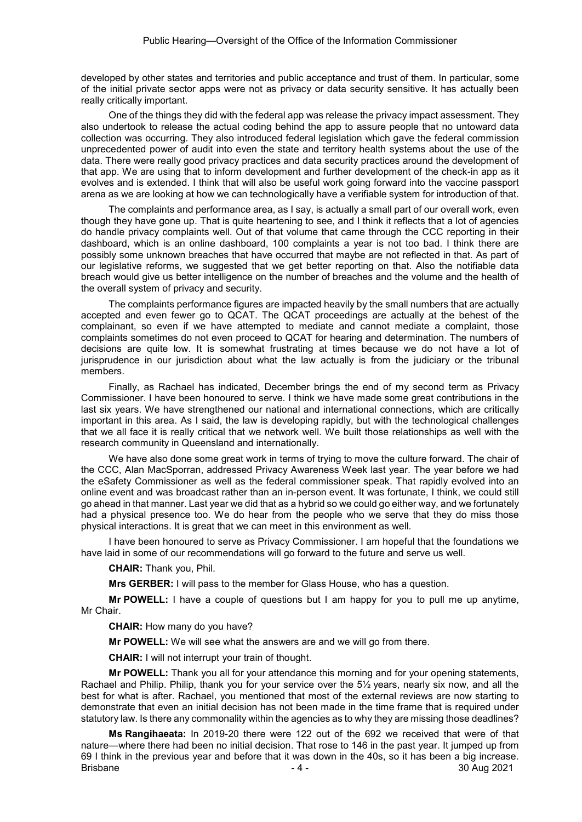developed by other states and territories and public acceptance and trust of them. In particular, some of the initial private sector apps were not as privacy or data security sensitive. It has actually been really critically important.

One of the things they did with the federal app was release the privacy impact assessment. They also undertook to release the actual coding behind the app to assure people that no untoward data collection was occurring. They also introduced federal legislation which gave the federal commission unprecedented power of audit into even the state and territory health systems about the use of the data. There were really good privacy practices and data security practices around the development of that app. We are using that to inform development and further development of the check-in app as it evolves and is extended. I think that will also be useful work going forward into the vaccine passport arena as we are looking at how we can technologically have a verifiable system for introduction of that.

The complaints and performance area, as I say, is actually a small part of our overall work, even though they have gone up. That is quite heartening to see, and I think it reflects that a lot of agencies do handle privacy complaints well. Out of that volume that came through the CCC reporting in their dashboard, which is an online dashboard, 100 complaints a year is not too bad. I think there are possibly some unknown breaches that have occurred that maybe are not reflected in that. As part of our legislative reforms, we suggested that we get better reporting on that. Also the notifiable data breach would give us better intelligence on the number of breaches and the volume and the health of the overall system of privacy and security.

The complaints performance figures are impacted heavily by the small numbers that are actually accepted and even fewer go to QCAT. The QCAT proceedings are actually at the behest of the complainant, so even if we have attempted to mediate and cannot mediate a complaint, those complaints sometimes do not even proceed to QCAT for hearing and determination. The numbers of decisions are quite low. It is somewhat frustrating at times because we do not have a lot of jurisprudence in our jurisdiction about what the law actually is from the judiciary or the tribunal members.

Finally, as Rachael has indicated, December brings the end of my second term as Privacy Commissioner. I have been honoured to serve. I think we have made some great contributions in the last six years. We have strengthened our national and international connections, which are critically important in this area. As I said, the law is developing rapidly, but with the technological challenges that we all face it is really critical that we network well. We built those relationships as well with the research community in Queensland and internationally.

We have also done some great work in terms of trying to move the culture forward. The chair of the CCC, Alan MacSporran, addressed Privacy Awareness Week last year. The year before we had the eSafety Commissioner as well as the federal commissioner speak. That rapidly evolved into an online event and was broadcast rather than an in-person event. It was fortunate, I think, we could still go ahead in that manner. Last year we did that as a hybrid so we could go either way, and we fortunately had a physical presence too. We do hear from the people who we serve that they do miss those physical interactions. It is great that we can meet in this environment as well.

I have been honoured to serve as Privacy Commissioner. I am hopeful that the foundations we have laid in some of our recommendations will go forward to the future and serve us well.

**CHAIR:** Thank you, Phil.

**Mrs GERBER:** I will pass to the member for Glass House, who has a question.

**Mr POWELL:** I have a couple of questions but I am happy for you to pull me up anytime, Mr Chair.

**CHAIR:** How many do you have?

**Mr POWELL:** We will see what the answers are and we will go from there.

**CHAIR:** I will not interrupt your train of thought.

**Mr POWELL:** Thank you all for your attendance this morning and for your opening statements, Rachael and Philip. Philip, thank you for your service over the 5½ years, nearly six now, and all the best for what is after. Rachael, you mentioned that most of the external reviews are now starting to demonstrate that even an initial decision has not been made in the time frame that is required under statutory law. Is there any commonality within the agencies as to why they are missing those deadlines?

Brisbane - 30 Aug 2021 **Ms Rangihaeata:** In 2019-20 there were 122 out of the 692 we received that were of that nature—where there had been no initial decision. That rose to 146 in the past year. It jumped up from 69 I think in the previous year and before that it was down in the 40s, so it has been a big increase.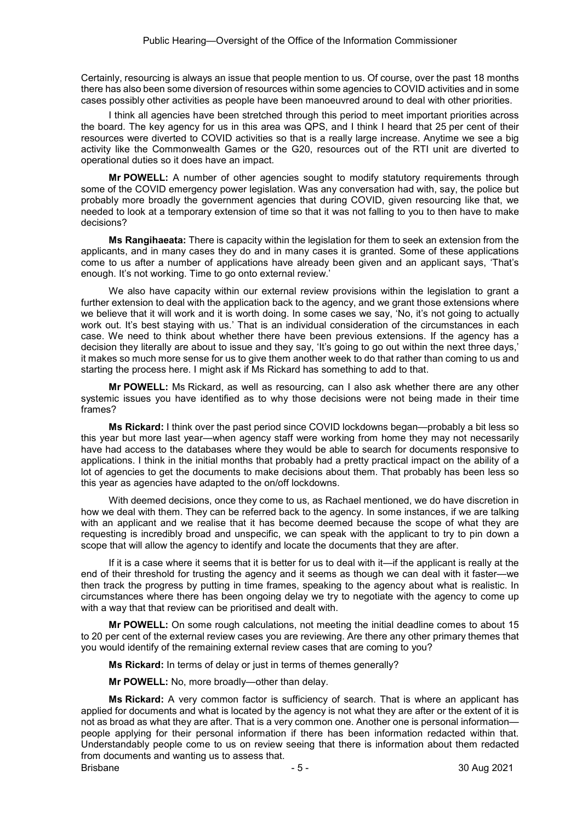Certainly, resourcing is always an issue that people mention to us. Of course, over the past 18 months there has also been some diversion of resources within some agencies to COVID activities and in some cases possibly other activities as people have been manoeuvred around to deal with other priorities.

I think all agencies have been stretched through this period to meet important priorities across the board. The key agency for us in this area was QPS, and I think I heard that 25 per cent of their resources were diverted to COVID activities so that is a really large increase. Anytime we see a big activity like the Commonwealth Games or the G20, resources out of the RTI unit are diverted to operational duties so it does have an impact.

**Mr POWELL:** A number of other agencies sought to modify statutory requirements through some of the COVID emergency power legislation. Was any conversation had with, say, the police but probably more broadly the government agencies that during COVID, given resourcing like that, we needed to look at a temporary extension of time so that it was not falling to you to then have to make decisions?

**Ms Rangihaeata:** There is capacity within the legislation for them to seek an extension from the applicants, and in many cases they do and in many cases it is granted. Some of these applications come to us after a number of applications have already been given and an applicant says, 'That's enough. It's not working. Time to go onto external review.'

We also have capacity within our external review provisions within the legislation to grant a further extension to deal with the application back to the agency, and we grant those extensions where we believe that it will work and it is worth doing. In some cases we say, 'No, it's not going to actually work out. It's best staying with us.' That is an individual consideration of the circumstances in each case. We need to think about whether there have been previous extensions. If the agency has a decision they literally are about to issue and they say, 'It's going to go out within the next three days,' it makes so much more sense for us to give them another week to do that rather than coming to us and starting the process here. I might ask if Ms Rickard has something to add to that.

**Mr POWELL:** Ms Rickard, as well as resourcing, can I also ask whether there are any other systemic issues you have identified as to why those decisions were not being made in their time frames?

**Ms Rickard:** I think over the past period since COVID lockdowns began—probably a bit less so this year but more last year—when agency staff were working from home they may not necessarily have had access to the databases where they would be able to search for documents responsive to applications. I think in the initial months that probably had a pretty practical impact on the ability of a lot of agencies to get the documents to make decisions about them. That probably has been less so this year as agencies have adapted to the on/off lockdowns.

With deemed decisions, once they come to us, as Rachael mentioned, we do have discretion in how we deal with them. They can be referred back to the agency. In some instances, if we are talking with an applicant and we realise that it has become deemed because the scope of what they are requesting is incredibly broad and unspecific, we can speak with the applicant to try to pin down a scope that will allow the agency to identify and locate the documents that they are after.

If it is a case where it seems that it is better for us to deal with it—if the applicant is really at the end of their threshold for trusting the agency and it seems as though we can deal with it faster—we then track the progress by putting in time frames, speaking to the agency about what is realistic. In circumstances where there has been ongoing delay we try to negotiate with the agency to come up with a way that that review can be prioritised and dealt with.

**Mr POWELL:** On some rough calculations, not meeting the initial deadline comes to about 15 to 20 per cent of the external review cases you are reviewing. Are there any other primary themes that you would identify of the remaining external review cases that are coming to you?

**Ms Rickard:** In terms of delay or just in terms of themes generally?

**Mr POWELL:** No, more broadly—other than delay.

Brisbane - 5 - 30 Aug 2021 **Ms Rickard:** A very common factor is sufficiency of search. That is where an applicant has applied for documents and what is located by the agency is not what they are after or the extent of it is not as broad as what they are after. That is a very common one. Another one is personal information people applying for their personal information if there has been information redacted within that. Understandably people come to us on review seeing that there is information about them redacted from documents and wanting us to assess that.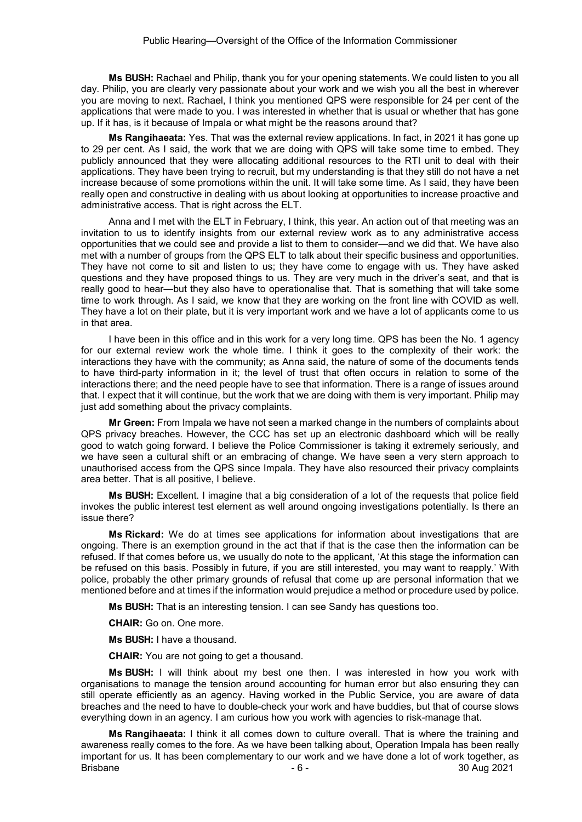**Ms BUSH:** Rachael and Philip, thank you for your opening statements. We could listen to you all day. Philip, you are clearly very passionate about your work and we wish you all the best in wherever you are moving to next. Rachael, I think you mentioned QPS were responsible for 24 per cent of the applications that were made to you. I was interested in whether that is usual or whether that has gone up. If it has, is it because of Impala or what might be the reasons around that?

**Ms Rangihaeata:** Yes. That was the external review applications. In fact, in 2021 it has gone up to 29 per cent. As I said, the work that we are doing with QPS will take some time to embed. They publicly announced that they were allocating additional resources to the RTI unit to deal with their applications. They have been trying to recruit, but my understanding is that they still do not have a net increase because of some promotions within the unit. It will take some time. As I said, they have been really open and constructive in dealing with us about looking at opportunities to increase proactive and administrative access. That is right across the ELT.

Anna and I met with the ELT in February, I think, this year. An action out of that meeting was an invitation to us to identify insights from our external review work as to any administrative access opportunities that we could see and provide a list to them to consider—and we did that. We have also met with a number of groups from the QPS ELT to talk about their specific business and opportunities. They have not come to sit and listen to us; they have come to engage with us. They have asked questions and they have proposed things to us. They are very much in the driver's seat, and that is really good to hear—but they also have to operationalise that. That is something that will take some time to work through. As I said, we know that they are working on the front line with COVID as well. They have a lot on their plate, but it is very important work and we have a lot of applicants come to us in that area.

I have been in this office and in this work for a very long time. QPS has been the No. 1 agency for our external review work the whole time. I think it goes to the complexity of their work: the interactions they have with the community; as Anna said, the nature of some of the documents tends to have third-party information in it; the level of trust that often occurs in relation to some of the interactions there; and the need people have to see that information. There is a range of issues around that. I expect that it will continue, but the work that we are doing with them is very important. Philip may just add something about the privacy complaints.

**Mr Green:** From Impala we have not seen a marked change in the numbers of complaints about QPS privacy breaches. However, the CCC has set up an electronic dashboard which will be really good to watch going forward. I believe the Police Commissioner is taking it extremely seriously, and we have seen a cultural shift or an embracing of change. We have seen a very stern approach to unauthorised access from the QPS since Impala. They have also resourced their privacy complaints area better. That is all positive, I believe.

**Ms BUSH:** Excellent. I imagine that a big consideration of a lot of the requests that police field invokes the public interest test element as well around ongoing investigations potentially. Is there an issue there?

**Ms Rickard:** We do at times see applications for information about investigations that are ongoing. There is an exemption ground in the act that if that is the case then the information can be refused. If that comes before us, we usually do note to the applicant, 'At this stage the information can be refused on this basis. Possibly in future, if you are still interested, you may want to reapply.' With police, probably the other primary grounds of refusal that come up are personal information that we mentioned before and at times if the information would prejudice a method or procedure used by police.

**Ms BUSH:** That is an interesting tension. I can see Sandy has questions too.

**CHAIR:** Go on. One more.

**Ms BUSH:** I have a thousand.

**CHAIR:** You are not going to get a thousand.

**Ms BUSH:** I will think about my best one then. I was interested in how you work with organisations to manage the tension around accounting for human error but also ensuring they can still operate efficiently as an agency. Having worked in the Public Service, you are aware of data breaches and the need to have to double-check your work and have buddies, but that of course slows everything down in an agency. I am curious how you work with agencies to risk-manage that.

Brisbane - 6 - 30 Aug 2021 **Ms Rangihaeata:** I think it all comes down to culture overall. That is where the training and awareness really comes to the fore. As we have been talking about, Operation Impala has been really important for us. It has been complementary to our work and we have done a lot of work together, as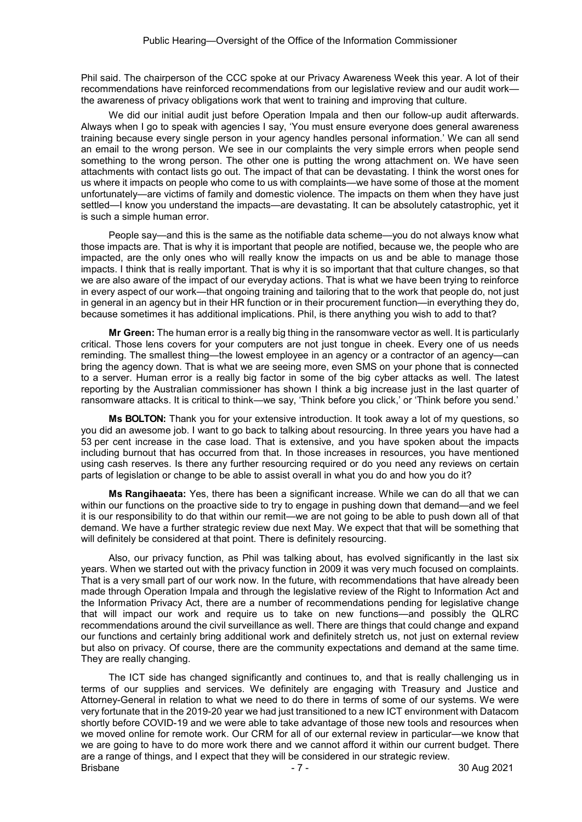Phil said. The chairperson of the CCC spoke at our Privacy Awareness Week this year. A lot of their recommendations have reinforced recommendations from our legislative review and our audit work the awareness of privacy obligations work that went to training and improving that culture.

We did our initial audit just before Operation Impala and then our follow-up audit afterwards. Always when I go to speak with agencies I say, 'You must ensure everyone does general awareness training because every single person in your agency handles personal information.' We can all send an email to the wrong person. We see in our complaints the very simple errors when people send something to the wrong person. The other one is putting the wrong attachment on. We have seen attachments with contact lists go out. The impact of that can be devastating. I think the worst ones for us where it impacts on people who come to us with complaints—we have some of those at the moment unfortunately—are victims of family and domestic violence. The impacts on them when they have just settled—I know you understand the impacts—are devastating. It can be absolutely catastrophic, yet it is such a simple human error.

People say—and this is the same as the notifiable data scheme—you do not always know what those impacts are. That is why it is important that people are notified, because we, the people who are impacted, are the only ones who will really know the impacts on us and be able to manage those impacts. I think that is really important. That is why it is so important that that culture changes, so that we are also aware of the impact of our everyday actions. That is what we have been trying to reinforce in every aspect of our work—that ongoing training and tailoring that to the work that people do, not just in general in an agency but in their HR function or in their procurement function—in everything they do, because sometimes it has additional implications. Phil, is there anything you wish to add to that?

**Mr Green:** The human error is a really big thing in the ransomware vector as well. It is particularly critical. Those lens covers for your computers are not just tongue in cheek. Every one of us needs reminding. The smallest thing—the lowest employee in an agency or a contractor of an agency—can bring the agency down. That is what we are seeing more, even SMS on your phone that is connected to a server. Human error is a really big factor in some of the big cyber attacks as well. The latest reporting by the Australian commissioner has shown I think a big increase just in the last quarter of ransomware attacks. It is critical to think—we say, 'Think before you click,' or 'Think before you send.'

**Ms BOLTON:** Thank you for your extensive introduction. It took away a lot of my questions, so you did an awesome job. I want to go back to talking about resourcing. In three years you have had a 53 per cent increase in the case load. That is extensive, and you have spoken about the impacts including burnout that has occurred from that. In those increases in resources, you have mentioned using cash reserves. Is there any further resourcing required or do you need any reviews on certain parts of legislation or change to be able to assist overall in what you do and how you do it?

**Ms Rangihaeata:** Yes, there has been a significant increase. While we can do all that we can within our functions on the proactive side to try to engage in pushing down that demand—and we feel it is our responsibility to do that within our remit—we are not going to be able to push down all of that demand. We have a further strategic review due next May. We expect that that will be something that will definitely be considered at that point. There is definitely resourcing.

Also, our privacy function, as Phil was talking about, has evolved significantly in the last six years. When we started out with the privacy function in 2009 it was very much focused on complaints. That is a very small part of our work now. In the future, with recommendations that have already been made through Operation Impala and through the legislative review of the Right to Information Act and the Information Privacy Act, there are a number of recommendations pending for legislative change that will impact our work and require us to take on new functions—and possibly the QLRC recommendations around the civil surveillance as well. There are things that could change and expand our functions and certainly bring additional work and definitely stretch us, not just on external review but also on privacy. Of course, there are the community expectations and demand at the same time. They are really changing.

Brisbane - 7 - 7 - 7 - 30 Aug 2021 The ICT side has changed significantly and continues to, and that is really challenging us in terms of our supplies and services. We definitely are engaging with Treasury and Justice and Attorney-General in relation to what we need to do there in terms of some of our systems. We were very fortunate that in the 2019-20 year we had just transitioned to a new ICT environment with Datacom shortly before COVID-19 and we were able to take advantage of those new tools and resources when we moved online for remote work. Our CRM for all of our external review in particular—we know that we are going to have to do more work there and we cannot afford it within our current budget. There are a range of things, and I expect that they will be considered in our strategic review.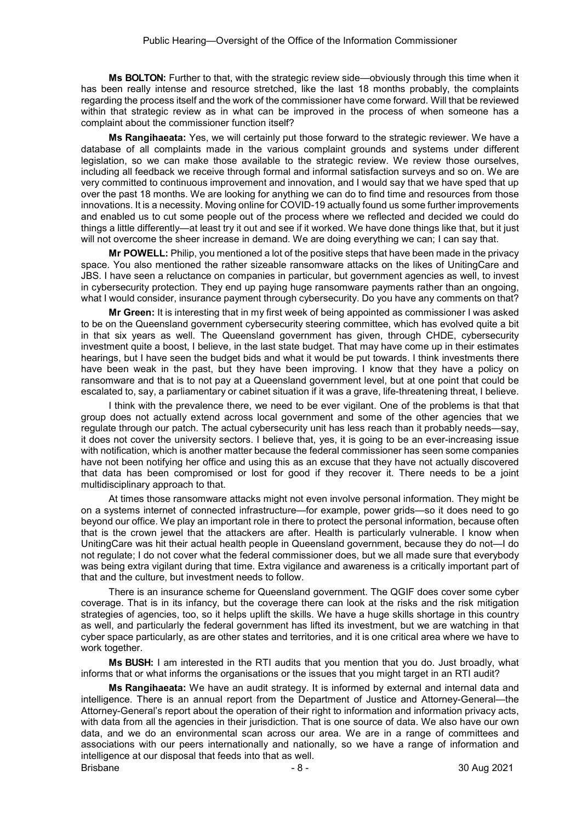**Ms BOLTON:** Further to that, with the strategic review side—obviously through this time when it has been really intense and resource stretched, like the last 18 months probably, the complaints regarding the process itself and the work of the commissioner have come forward. Will that be reviewed within that strategic review as in what can be improved in the process of when someone has a complaint about the commissioner function itself?

**Ms Rangihaeata:** Yes, we will certainly put those forward to the strategic reviewer. We have a database of all complaints made in the various complaint grounds and systems under different legislation, so we can make those available to the strategic review. We review those ourselves, including all feedback we receive through formal and informal satisfaction surveys and so on. We are very committed to continuous improvement and innovation, and I would say that we have sped that up over the past 18 months. We are looking for anything we can do to find time and resources from those innovations. It is a necessity. Moving online for COVID-19 actually found us some further improvements and enabled us to cut some people out of the process where we reflected and decided we could do things a little differently—at least try it out and see if it worked. We have done things like that, but it just will not overcome the sheer increase in demand. We are doing everything we can; I can say that.

**Mr POWELL:** Philip, you mentioned a lot of the positive steps that have been made in the privacy space. You also mentioned the rather sizeable ransomware attacks on the likes of UnitingCare and JBS. I have seen a reluctance on companies in particular, but government agencies as well, to invest in cybersecurity protection. They end up paying huge ransomware payments rather than an ongoing, what I would consider, insurance payment through cybersecurity. Do you have any comments on that?

**Mr Green:** It is interesting that in my first week of being appointed as commissioner I was asked to be on the Queensland government cybersecurity steering committee, which has evolved quite a bit in that six years as well. The Queensland government has given, through CHDE, cybersecurity investment quite a boost, I believe, in the last state budget. That may have come up in their estimates hearings, but I have seen the budget bids and what it would be put towards. I think investments there have been weak in the past, but they have been improving. I know that they have a policy on ransomware and that is to not pay at a Queensland government level, but at one point that could be escalated to, say, a parliamentary or cabinet situation if it was a grave, life-threatening threat, I believe.

I think with the prevalence there, we need to be ever vigilant. One of the problems is that that group does not actually extend across local government and some of the other agencies that we regulate through our patch. The actual cybersecurity unit has less reach than it probably needs—say, it does not cover the university sectors. I believe that, yes, it is going to be an ever-increasing issue with notification, which is another matter because the federal commissioner has seen some companies have not been notifying her office and using this as an excuse that they have not actually discovered that data has been compromised or lost for good if they recover it. There needs to be a joint multidisciplinary approach to that.

At times those ransomware attacks might not even involve personal information. They might be on a systems internet of connected infrastructure—for example, power grids—so it does need to go beyond our office. We play an important role in there to protect the personal information, because often that is the crown jewel that the attackers are after. Health is particularly vulnerable. I know when UnitingCare was hit their actual health people in Queensland government, because they do not—I do not regulate; I do not cover what the federal commissioner does, but we all made sure that everybody was being extra vigilant during that time. Extra vigilance and awareness is a critically important part of that and the culture, but investment needs to follow.

There is an insurance scheme for Queensland government. The QGIF does cover some cyber coverage. That is in its infancy, but the coverage there can look at the risks and the risk mitigation strategies of agencies, too, so it helps uplift the skills. We have a huge skills shortage in this country as well, and particularly the federal government has lifted its investment, but we are watching in that cyber space particularly, as are other states and territories, and it is one critical area where we have to work together.

**Ms BUSH:** I am interested in the RTI audits that you mention that you do. Just broadly, what informs that or what informs the organisations or the issues that you might target in an RTI audit?

Brisbane - 8 - 30 Aug 2021 **Ms Rangihaeata:** We have an audit strategy. It is informed by external and internal data and intelligence. There is an annual report from the Department of Justice and Attorney-General—the Attorney-General's report about the operation of their right to information and information privacy acts, with data from all the agencies in their jurisdiction. That is one source of data. We also have our own data, and we do an environmental scan across our area. We are in a range of committees and associations with our peers internationally and nationally, so we have a range of information and intelligence at our disposal that feeds into that as well.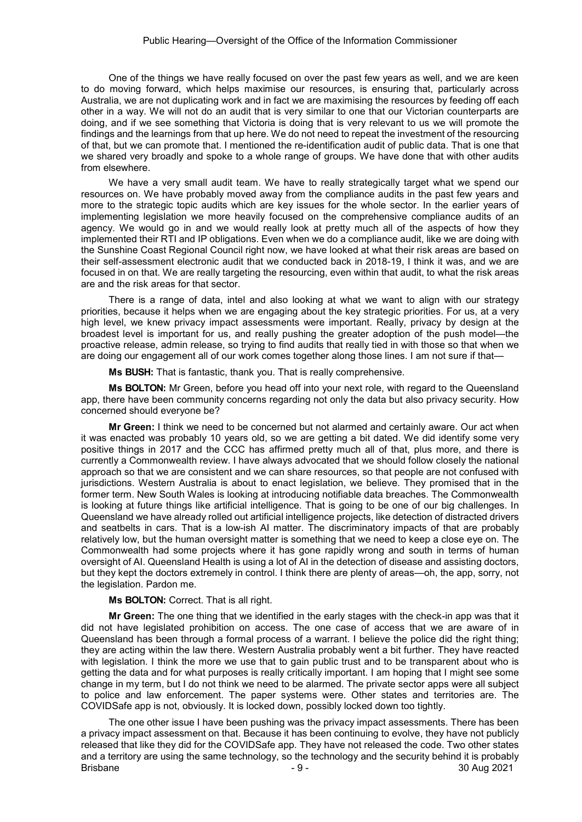One of the things we have really focused on over the past few years as well, and we are keen to do moving forward, which helps maximise our resources, is ensuring that, particularly across Australia, we are not duplicating work and in fact we are maximising the resources by feeding off each other in a way. We will not do an audit that is very similar to one that our Victorian counterparts are doing, and if we see something that Victoria is doing that is very relevant to us we will promote the findings and the learnings from that up here. We do not need to repeat the investment of the resourcing of that, but we can promote that. I mentioned the re-identification audit of public data. That is one that we shared very broadly and spoke to a whole range of groups. We have done that with other audits from elsewhere.

We have a very small audit team. We have to really strategically target what we spend our resources on. We have probably moved away from the compliance audits in the past few years and more to the strategic topic audits which are key issues for the whole sector. In the earlier years of implementing legislation we more heavily focused on the comprehensive compliance audits of an agency. We would go in and we would really look at pretty much all of the aspects of how they implemented their RTI and IP obligations. Even when we do a compliance audit, like we are doing with the Sunshine Coast Regional Council right now, we have looked at what their risk areas are based on their self-assessment electronic audit that we conducted back in 2018-19, I think it was, and we are focused in on that. We are really targeting the resourcing, even within that audit, to what the risk areas are and the risk areas for that sector.

There is a range of data, intel and also looking at what we want to align with our strategy priorities, because it helps when we are engaging about the key strategic priorities. For us, at a very high level, we knew privacy impact assessments were important. Really, privacy by design at the broadest level is important for us, and really pushing the greater adoption of the push model—the proactive release, admin release, so trying to find audits that really tied in with those so that when we are doing our engagement all of our work comes together along those lines. I am not sure if that—

**Ms BUSH:** That is fantastic, thank you. That is really comprehensive.

**Ms BOLTON:** Mr Green, before you head off into your next role, with regard to the Queensland app, there have been community concerns regarding not only the data but also privacy security. How concerned should everyone be?

**Mr Green:** I think we need to be concerned but not alarmed and certainly aware. Our act when it was enacted was probably 10 years old, so we are getting a bit dated. We did identify some very positive things in 2017 and the CCC has affirmed pretty much all of that, plus more, and there is currently a Commonwealth review. I have always advocated that we should follow closely the national approach so that we are consistent and we can share resources, so that people are not confused with jurisdictions. Western Australia is about to enact legislation, we believe. They promised that in the former term. New South Wales is looking at introducing notifiable data breaches. The Commonwealth is looking at future things like artificial intelligence. That is going to be one of our big challenges. In Queensland we have already rolled out artificial intelligence projects, like detection of distracted drivers and seatbelts in cars. That is a low-ish AI matter. The discriminatory impacts of that are probably relatively low, but the human oversight matter is something that we need to keep a close eye on. The Commonwealth had some projects where it has gone rapidly wrong and south in terms of human oversight of AI. Queensland Health is using a lot of AI in the detection of disease and assisting doctors, but they kept the doctors extremely in control. I think there are plenty of areas—oh, the app, sorry, not the legislation. Pardon me.

#### **Ms BOLTON:** Correct. That is all right.

**Mr Green:** The one thing that we identified in the early stages with the check-in app was that it did not have legislated prohibition on access. The one case of access that we are aware of in Queensland has been through a formal process of a warrant. I believe the police did the right thing; they are acting within the law there. Western Australia probably went a bit further. They have reacted with legislation. I think the more we use that to gain public trust and to be transparent about who is getting the data and for what purposes is really critically important. I am hoping that I might see some change in my term, but I do not think we need to be alarmed. The private sector apps were all subject to police and law enforcement. The paper systems were. Other states and territories are. The COVIDSafe app is not, obviously. It is locked down, possibly locked down too tightly.

Brisbane - 9 - 30 Aug 2021 The one other issue I have been pushing was the privacy impact assessments. There has been a privacy impact assessment on that. Because it has been continuing to evolve, they have not publicly released that like they did for the COVIDSafe app. They have not released the code. Two other states and a territory are using the same technology, so the technology and the security behind it is probably